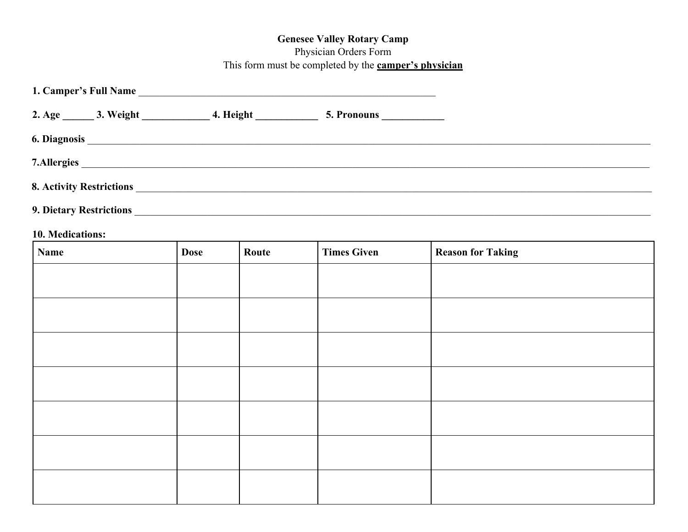## **Genesee Valley Rotary Camp**

## Physician Orders Form

This form must be completed by the **camper's physician**

| 1. Camper's Full Name          |              |  |  |  |  |  |
|--------------------------------|--------------|--|--|--|--|--|
|                                |              |  |  |  |  |  |
|                                |              |  |  |  |  |  |
|                                | 7. Allergies |  |  |  |  |  |
|                                |              |  |  |  |  |  |
| <b>9. Dietary Restrictions</b> |              |  |  |  |  |  |

## **10. Medications:**

| <b>Name</b> | <b>Dose</b> | Route | <b>Times Given</b> | <b>Reason for Taking</b> |
|-------------|-------------|-------|--------------------|--------------------------|
|             |             |       |                    |                          |
|             |             |       |                    |                          |
|             |             |       |                    |                          |
|             |             |       |                    |                          |
|             |             |       |                    |                          |
|             |             |       |                    |                          |
|             |             |       |                    |                          |